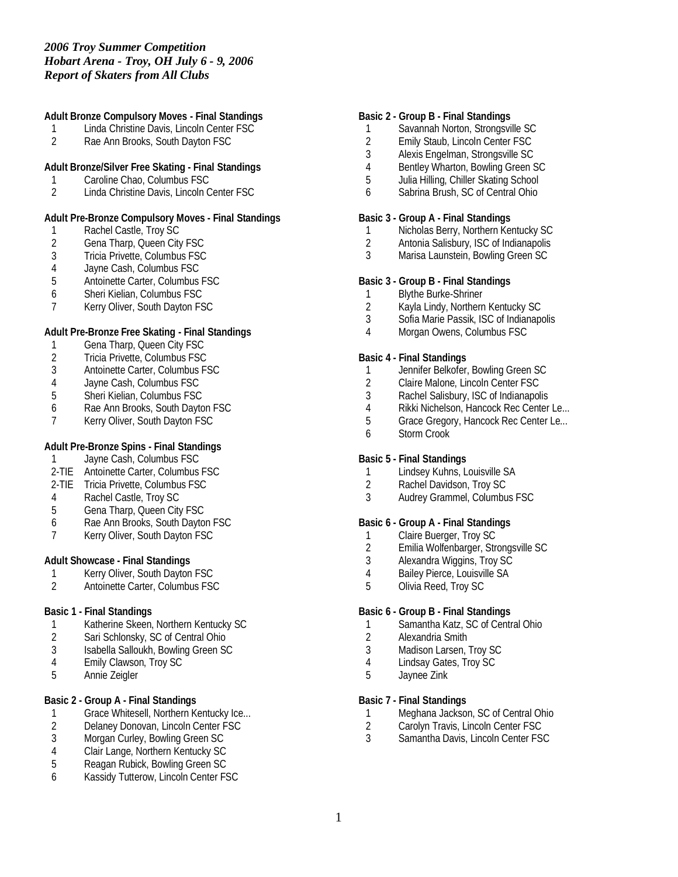**Adult Bronze Compulsory Moves - Final Standings**

- 1 Linda Christine Davis, Lincoln Center FSC<br>2 Rae Ann Brooks. South Davton FSC
- Rae Ann Brooks, South Dayton FSC

## **Adult Bronze/Silver Free Skating - Final Standings**

- 1 Caroline Chao, Columbus FSC<br>2 Linda Christine Davis, Lincoln C
- 2 Linda Christine Davis, Lincoln Center FSC

## **Adult Pre-Bronze Compulsory Moves - Final Standings**

- 1 Rachel Castle, Troy SC
- 2 Gena Tharp, Queen City FSC<br>3 Tricia Privette, Columbus FSC
- 3 Tricia Privette, Columbus FSC
- 4 Jayne Cash, Columbus FSC
- 5 Antoinette Carter, Columbus FSC
- 6 Sheri Kielian, Columbus FSC
- 7 Kerry Oliver, South Dayton FSC

## **Adult Pre-Bronze Free Skating - Final Standings**

- 
- 1 Gena Tharp, Queen City FSC<br>2 Tricia Privette, Columbus FSC 2 Tricia Privette, Columbus FSC
- 3 Antoinette Carter, Columbus FSC
- 
- 4 Jayne Cash, Columbus FSC 5 Sheri Kielian, Columbus FSC
- 6 Rae Ann Brooks, South Dayton FSC
- 7 Kerry Oliver, South Dayton FSC

# **Adult Pre-Bronze Spins - Final Standings**

- 1 Jayne Cash, Columbus FSC
- 2-TIE Antoinette Carter, Columbus FSC
- 2-TIE Tricia Privette, Columbus FSC
- 4 Rachel Castle, Troy SC
- 5 Gena Tharp, Queen City FSC
- 6 Rae Ann Brooks, South Dayton FSC
- 7 Kerry Oliver, South Dayton FSC

### **Adult Showcase - Final Standings**

- 1 Kerry Oliver, South Dayton FSC
- 2 Antoinette Carter, Columbus FSC

## **Basic 1 - Final Standings**

- 1 Katherine Skeen, Northern Kentucky SC<br>2 Sari Schlonsky, SC of Central Ohio
- Sari Schlonsky, SC of Central Ohio
- 3 Isabella Salloukh, Bowling Green SC
- 4 Emily Clawson, Troy SC
- 5 Annie Zeigler

# **Basic 2 - Group A - Final Standings**

- 1 Grace Whitesell, Northern Kentucky Ice...<br>2 Delaney Donovan, Lincoln Center FSC
- 2 Delaney Donovan, Lincoln Center FSC<br>3 Morgan Curley, Bowling Green SC
- Morgan Curley, Bowling Green SC
- 4 Clair Lange, Northern Kentucky SC
- 5 Reagan Rubick, Bowling Green SC
- 6 Kassidy Tutterow, Lincoln Center FSC

#### **Basic 2 - Group B - Final Standings**

- 1 Savannah Norton, Strongsville SC
- 2 Emily Staub, Lincoln Center FSC<br>3 Alexis Engelman, Strongsville SC
- 3 Alexis Engelman, Strongsville SC
- 4 Bentley Wharton, Bowling Green SC
- 5 Julia Hilling, Chiller Skating School
- 6 Sabrina Brush, SC of Central Ohio
- **Basic 3 Group A Final Standings**
	- 1 Nicholas Berry, Northern Kentucky SC
	- 2 Antonia Salisbury, ISC of Indianapolis
	- Marisa Launstein, Bowling Green SC

#### **Basic 3 - Group B - Final Standings**

- 1 Blythe Burke-Shriner
- 2 Kayla Lindy, Northern Kentucky SC
- 3 Sofia Marie Passik, ISC of Indianapolis
- 4 Morgan Owens, Columbus FSC
- **Basic 4 Final Standings**
- 1 Jennifer Belkofer, Bowling Green SC
- 2 Claire Malone, Lincoln Center FSC
- 3 Rachel Salisbury, ISC of Indianapolis
- 4 Rikki Nichelson, Hancock Rec Center Le...
- 5 Grace Gregory, Hancock Rec Center Le...
- 6 Storm Crook
- **Basic 5 Final Standings**
- 1 Lindsey Kuhns, Louisville SA<br>2 Rachel Davidson. Trov SC
- 2 Rachel Davidson, Troy SC<br>3 Audrey Grammel Columbu
- 3 Audrey Grammel, Columbus FSC

### **Basic 6 - Group A - Final Standings**

- 1 Claire Buerger, Troy SC
- 2 Emilia Wolfenbarger, Strongsville SC<br>3 Alexandra Wiggins, Troy SC
- Alexandra Wiggins, Troy SC
- 4 Bailey Pierce, Louisville SA
- 5 Olivia Reed, Troy SC

#### **Basic 6 - Group B - Final Standings**

- 1 Samantha Katz, SC of Central Ohio
- 2 Alexandria Smith
- 3 Madison Larsen, Troy SC
- 4 Lindsay Gates, Troy SC
- 5 Jaynee Zink

## **Basic 7 - Final Standings**

- 1 Meghana Jackson, SC of Central Ohio<br>2 Carolyn Travis, Lincoln Center FSC
- 2 Carolyn Travis, Lincoln Center FSC<br>3 Samantha Davis, Lincoln Center FS
- Samantha Davis, Lincoln Center FSC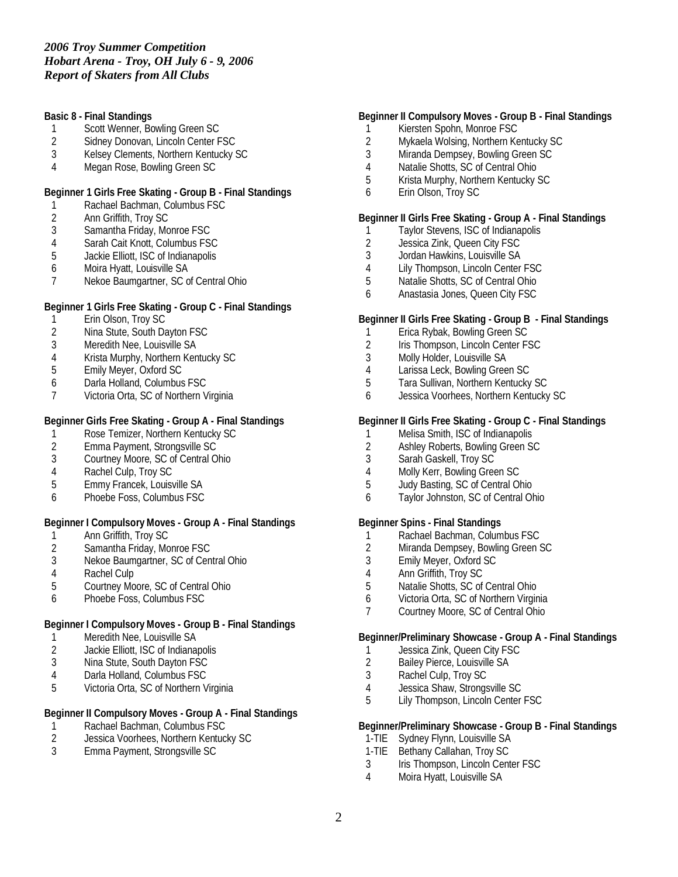**Basic 8 - Final Standings**

- 1 Scott Wenner, Bowling Green SC
- 2 Sidney Donovan, Lincoln Center FSC<br>3 Kelsev Clements. Northern Kentucky 9
- 3 Kelsey Clements, Northern Kentucky SC
- 4 Megan Rose, Bowling Green SC

### **Beginner 1 Girls Free Skating - Group B - Final Standings**

- 1 Rachael Bachman, Columbus FSC
- 2 Ann Griffith, Troy SC<br>3 Samantha Friday, Mo
- Samantha Friday, Monroe FSC
- 4 Sarah Cait Knott, Columbus FSC<br>5 Jackie Elliott, ISC of Indianapolis
- 5 Jackie Elliott, ISC of Indianapolis
- 6 Moira Hyatt, Louisville SA
- 7 Nekoe Baumgartner, SC of Central Ohio

**Beginner 1 Girls Free Skating - Group C - Final Standings**

- 1 Erin Olson, Troy SC<br>2 Nina Stute, South Da
- Nina Stute, South Dayton FSC
- 3 Meredith Nee, Louisville SA
- 4 Krista Murphy, Northern Kentucky SC
- 5 Emily Meyer, Oxford SC
- 6 Darla Holland, Columbus FSC
- Victoria Orta, SC of Northern Virginia

# **Beginner Girls Free Skating - Group A - Final Standings**

- 1 Rose Temizer, Northern Kentucky SC<br>2 Emma Payment, Strongsville SC
- 2 Emma Payment, Strongsville SC<br>3 Courtney Moore, SC of Central O
- Courtney Moore, SC of Central Ohio
- 4 Rachel Culp, Troy SC<br>5 Emmy Francek, Louisy
- 5 Emmy Francek, Louisville SA
- 6 Phoebe Foss, Columbus FSC

**Beginner I Compulsory Moves - Group A - Final Standings**

- 1 Ann Griffith, Troy SC<br>2 Samantha Friday, Mo
- 2 Samantha Friday, Monroe FSC<br>3 Nekoe Baumgartner, SC of Cen
- Nekoe Baumgartner, SC of Central Ohio
- 4 Rachel Culp
- 5 Courtney Moore, SC of Central Ohio
- 6 Phoebe Foss, Columbus FSC

# **Beginner I Compulsory Moves - Group B - Final Standings**

- 1 Meredith Nee, Louisville SA<br>2 Jackie Elliott, ISC of Indiana
- Jackie Elliott, ISC of Indianapolis
- 3 Nina Stute, South Dayton FSC
- 4 Darla Holland, Columbus FSC<br>5 Victoria Orta, SC of Northern V
- Victoria Orta, SC of Northern Virginia

# **Beginner II Compulsory Moves - Group A - Final Standings**

- 1 Rachael Bachman, Columbus FSC<br>2 Jessica Voorhees, Northern Kentuc
- 2 Jessica Voorhees, Northern Kentucky SC<br>3 Emma Pavment. Strongsville SC
- 3 Emma Payment, Strongsville SC

# **Beginner II Compulsory Moves - Group B - Final Standings**

- 1 Kiersten Spohn, Monroe FSC
- 2 Mykaela Wolsing, Northern Kentucky SC<br>3 Miranda Dempsev. Bowling Green SC
- Miranda Dempsey, Bowling Green SC
- 4 Natalie Shotts, SC of Central Ohio
- 5 Krista Murphy, Northern Kentucky SC
- 6 Erin Olson, Troy SC

### **Beginner II Girls Free Skating - Group A - Final Standings**

- 1 Taylor Stevens, ISC of Indianapolis
- 2 Jessica Zink, Queen City FSC<br>3 Jordan Hawkins, Louisville SA
- 3 Jordan Hawkins, Louisville SA
- 4 Lily Thompson, Lincoln Center FSC
- 5 Natalie Shotts, SC of Central Ohio
- 6 Anastasia Jones, Queen City FSC

## **Beginner II Girls Free Skating - Group B - Final Standings**

- 1 Erica Rybak, Bowling Green SC
- 2 Iris Thompson, Lincoln Center FSC
- 3 Molly Holder, Louisville SA
- 4 Larissa Leck, Bowling Green SC
- 5 Tara Sullivan, Northern Kentucky SC
- 6 Jessica Voorhees, Northern Kentucky SC

## **Beginner II Girls Free Skating - Group C - Final Standings**

- 1 Melisa Smith, ISC of Indianapolis<br>2 Ashlev Roberts. Bowling Green So
- 2 Ashley Roberts, Bowling Green SC<br>3 Sarah Gaskell. Trov SC
- Sarah Gaskell, Troy SC
- 4 Molly Kerr, Bowling Green SC<br>5 Judy Basting, SC of Central Or
- 5 Judy Basting, SC of Central Ohio
- 6 Taylor Johnston, SC of Central Ohio

#### **Beginner Spins - Final Standings**

- 1 Rachael Bachman, Columbus FSC
- 2 Miranda Dempsey, Bowling Green SC<br>3 Emily Meyer, Oxford SC
- 3 Emily Meyer, Oxford SC
- 4 Ann Griffith, Troy SC
- 5 Natalie Shotts, SC of Central Ohio
- 6 Victoria Orta, SC of Northern Virginia
- 7 Courtney Moore, SC of Central Ohio

**Beginner/Preliminary Showcase - Group A - Final Standings**

- 1 Jessica Zink, Queen City FSC<br>2 Bailey Pierce, Louisville SA
- 2 Bailey Pierce, Louisville SA
- 3 Rachel Culp, Troy SC
- 4 Jessica Shaw, Strongsville SC<br>5 Lily Thompson, Lincoln Center
- Lily Thompson, Lincoln Center FSC

**Beginner/Preliminary Showcase - Group B - Final Standings**

- 1-TIE Sydney Flynn, Louisville SA
- 1-TIE Bethany Callahan, Troy SC
- 3 Iris Thompson, Lincoln Center FSC
- 4 Moira Hyatt, Louisville SA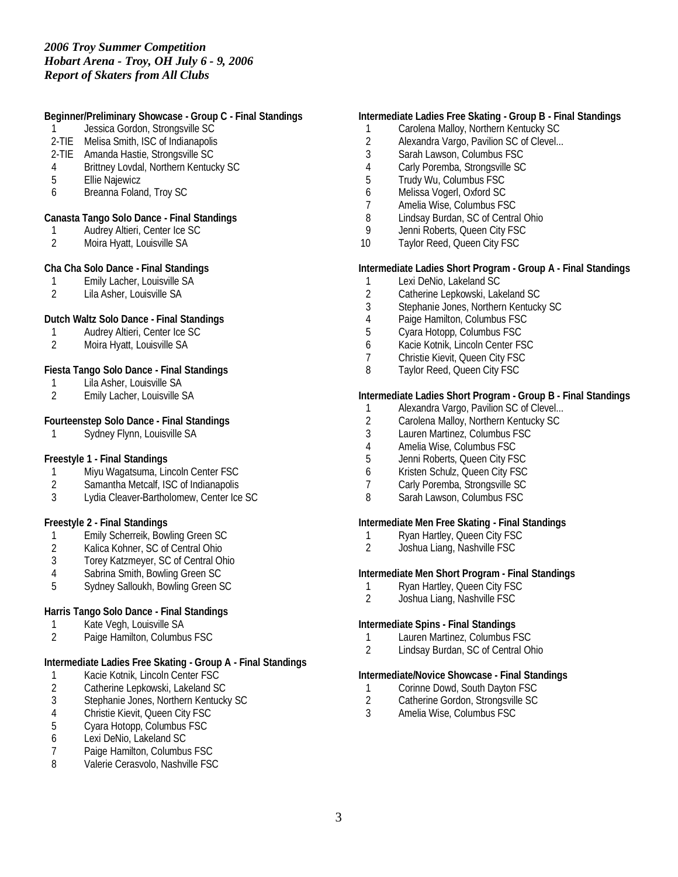| 1<br>4<br>5<br>6    | Beginner/Preliminary Showcase - Group C - Final Standings<br>Jessica Gordon, Strongsville SC<br>2-TIE Melisa Smith, ISC of Indianapolis<br>2-TIE Amanda Hastie, Strongsville SC<br>Brittney Lovdal, Northern Kentucky SC<br><b>Ellie Najewicz</b><br>Breanna Foland, Troy SC |
|---------------------|------------------------------------------------------------------------------------------------------------------------------------------------------------------------------------------------------------------------------------------------------------------------------|
| 1<br>2              | Canasta Tango Solo Dance - Final Standings<br>Audrey Altieri, Center Ice SC<br>Moira Hyatt, Louisville SA                                                                                                                                                                    |
| 1<br>$\mathfrak{D}$ | Cha Cha Solo Dance - Final Standings<br>Emily Lacher, Louisville SA<br>Lila Asher, Louisville SA                                                                                                                                                                             |
| 1<br>$\overline{2}$ | Dutch Waltz Solo Dance - Final Standings<br>Audrey Altieri, Center Ice SC<br>Moira Hyatt, Louisville SA                                                                                                                                                                      |
| 1<br>$\overline{2}$ | Fiesta Tango Solo Dance - Final Standings<br>Lila Asher, Louisville SA<br>Emily Lacher, Louisville SA                                                                                                                                                                        |
| 1                   | Fourteenstep Solo Dance - Final Standings<br>Sydney Flynn, Louisville SA                                                                                                                                                                                                     |
| 1<br>2<br>3         | Freestyle 1 - Final Standings<br>Miyu Wagatsuma, Lincoln Center FSC<br>Samantha Metcalf, ISC of Indianapolis<br>Lydia Cleaver-Bartholomew, Center Ice SC                                                                                                                     |
| 1<br>$\overline{2}$ | Freestyle 2 - Final Standings<br>Emily Scherreik, Bowling Green SC<br>Kalica Kohner, SC of Central Ohio                                                                                                                                                                      |

- 3 Torey Katzmeyer, SC of Central Ohio
- 4 Sabrina Smith, Bowling Green SC
- 5 Sydney Salloukh, Bowling Green SC

## **Harris Tango Solo Dance - Final Standings**

- 1 Kate Vegh, Louisville SA<br>2 Paige Hamilton, Columbu
- Paige Hamilton, Columbus FSC

**Intermediate Ladies Free Skating - Group A - Final Standings**

- 1 Kacie Kotnik, Lincoln Center FSC<br>2 Catherine Lepkowski, Lakeland SO
- 2 Catherine Lepkowski, Lakeland SC<br>3 Stephanie Jones, Northern Kentuck
- 3 Stephanie Jones, Northern Kentucky SC
- 4 Christie Kievit, Queen City FSC<br>5 Cyara Hotopp, Columbus FSC
- 5 Cyara Hotopp, Columbus FSC
- 6 Lexi DeNio, Lakeland SC
- 7 Paige Hamilton, Columbus FSC
- 8 Valerie Cerasvolo, Nashville FSC

## **Intermediate Ladies Free Skating - Group B - Final Standings**

- 1 Carolena Malloy, Northern Kentucky SC
- 2 Alexandra Vargo, Pavilion SC of Clevel...<br>3 Sarah Lawson. Columbus FSC
- Sarah Lawson, Columbus FSC
- 4 Carly Poremba, Strongsville SC
- 5 Trudy Wu, Columbus FSC
- 6 Melissa Vogerl, Oxford SC<br>7 Amelia Wise Columbus ES
- 7 Amelia Wise, Columbus FSC
- 8 Lindsay Burdan, SC of Central Ohio
- 9 Jenni Roberts, Queen City FSC
- 10 Taylor Reed, Queen City FSC

**Intermediate Ladies Short Program - Group A - Final Standings**

- 1 Lexi DeNio, Lakeland SC
- 2 Catherine Lepkowski, Lakeland SC<br>3 Stephanie Jones. Northern Kentuck
- 3 Stephanie Jones, Northern Kentucky SC
- 4 Paige Hamilton, Columbus FSC<br>5 Cvara Hotopp. Columbus FSC
- 5 Cyara Hotopp, Columbus FSC
- 6 Kacie Kotnik, Lincoln Center FSC
- 7 Christie Kievit, Queen City FSC
- 8 Taylor Reed, Queen City FSC

# **Intermediate Ladies Short Program - Group B - Final Standings**

- 1 Alexandra Vargo, Pavilion SC of Clevel...
- 2 Carolena Malloy, Northern Kentucky SC<br>3 Lauren Martinez, Columbus FSC
- Lauren Martinez, Columbus FSC
- 4 Amelia Wise, Columbus FSC<br>5 Jenni Roberts, Queen City FS
- 5 Jenni Roberts, Queen City FSC
- 6 Kristen Schulz, Queen City FSC
- 7 Carly Poremba, Strongsville SC
- 8 Sarah Lawson, Columbus FSC

**Intermediate Men Free Skating - Final Standings**

- 1 Ryan Hartley, Queen City FSC
- 2 Joshua Liang, Nashville FSC

**Intermediate Men Short Program - Final Standings**

- 1 Ryan Hartley, Queen City FSC<br>2 Joshua Liang, Nashville FSC
- 2 Joshua Liang, Nashville FSC

**Intermediate Spins - Final Standings**

- 1 Lauren Martinez, Columbus FSC
- 2 Lindsay Burdan, SC of Central Ohio

# **Intermediate/Novice Showcase - Final Standings**

- 1 Corinne Dowd, South Dayton FSC<br>2 Catherine Gordon, Strongsville SC
- 2 Catherine Gordon, Strongsville SC
- 3 Amelia Wise, Columbus FSC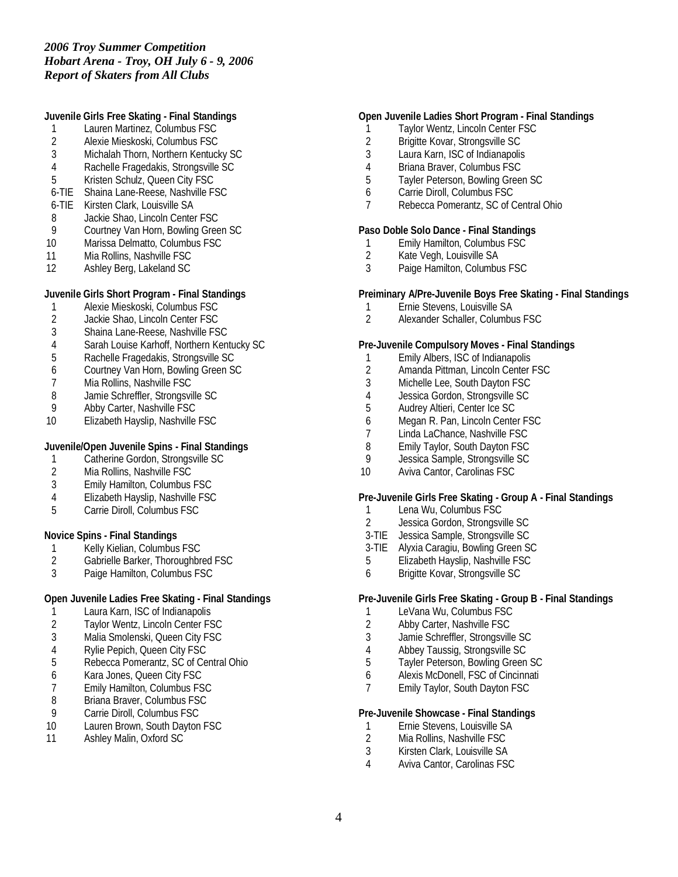**Juvenile Girls Free Skating - Final Standings**

- 1 Lauren Martinez, Columbus FSC
- 2 Alexie Mieskoski, Columbus FSC<br>3 Michalah Thorn. Northern Kentuck
- 3 Michalah Thorn, Northern Kentucky SC
- 4 Rachelle Fragedakis, Strongsville SC
- 5 Kristen Schulz, Queen City FSC
- 6-TIE Shaina Lane-Reese, Nashville FSC
- 6-TIE Kirsten Clark, Louisville SA
- 8 Jackie Shao, Lincoln Center FSC<br>9 Courtney Van Horn, Bowling Gree
- 9 Courtney Van Horn, Bowling Green SC
- 10 Marissa Delmatto, Columbus FSC
- 11 Mia Rollins, Nashville FSC<br>12 Ashlev Berg, Lakeland SC
- 12 Ashley Berg, Lakeland SC

**Juvenile Girls Short Program - Final Standings**

- 1 Alexie Mieskoski, Columbus FSC<br>2 Jackie Shao, Lincoln Center FSC
- Jackie Shao, Lincoln Center FSC
- 3 Shaina Lane-Reese, Nashville FSC
- 4 Sarah Louise Karhoff, Northern Kentucky SC
- 5 Rachelle Fragedakis, Strongsville SC
- 6 Courtney Van Horn, Bowling Green SC
- 7 Mia Rollins, Nashville FSC<br>8 Jamie Schreffler, Strongsvil
- 8 Jamie Schreffler, Strongsville SC<br>9 Abby Carter, Nashville FSC
- Abby Carter, Nashville FSC
- 10 Elizabeth Hayslip, Nashville FSC

**Juvenile/Open Juvenile Spins - Final Standings**

- 1 Catherine Gordon, Strongsville SC
- 2 Mia Rollins, Nashville FSC<br>3 Emily Hamilton, Columbus
- Emily Hamilton, Columbus FSC
- 4 Elizabeth Hayslip, Nashville FSC
- 5 Carrie Diroll, Columbus FSC

**Novice Spins - Final Standings**

- 1 Kelly Kielian, Columbus FSC<br>2 Gabrielle Barker, Thoroughbr
- 2 Gabrielle Barker, Thoroughbred FSC<br>3 Paige Hamilton. Columbus FSC
- Paige Hamilton, Columbus FSC

**Open Juvenile Ladies Free Skating - Final Standings**

- 1 Laura Karn, ISC of Indianapolis
- 2 Taylor Wentz, Lincoln Center FSC
- 3 Malia Smolenski, Queen City FSC
- 4 Rylie Pepich, Queen City FSC
- 5 Rebecca Pomerantz, SC of Central Ohio
- 6 Kara Jones, Queen City FSC
- 7 Emily Hamilton, Columbus FSC<br>8 Briana Braver, Columbus FSC
- 8 Briana Braver, Columbus FSC
- 9 Carrie Diroll, Columbus FSC<br>10 Lauren Brown, South Dayton
- Lauren Brown, South Dayton FSC
- 11 Ashley Malin, Oxford SC

**Open Juvenile Ladies Short Program - Final Standings**

- 1 Taylor Wentz, Lincoln Center FSC
- 2 Brigitte Kovar, Strongsville SC<br>3 Laura Karn, ISC of Indianapolis
- Laura Karn, ISC of Indianapolis
- 4 Briana Braver, Columbus FSC<br>5 Tavler Peterson, Bowling Greer
- 5 Tayler Peterson, Bowling Green SC
- 6 Carrie Diroll, Columbus FSC
- 7 Rebecca Pomerantz, SC of Central Ohio

**Paso Doble Solo Dance - Final Standings**

- 1 Emily Hamilton, Columbus FSC<br>2 Kate Vegh, Louisville SA
- 2 Kate Vegh, Louisville SA<br>3 Paige Hamilton, Columbu
- Paige Hamilton, Columbus FSC

**Preiminary A/Pre-Juvenile Boys Free Skating - Final Standings**

- 1 Ernie Stevens, Louisville SA
- 2 Alexander Schaller, Columbus FSC

**Pre-Juvenile Compulsory Moves - Final Standings**

- 1 Emily Albers, ISC of Indianapolis
- 2 Amanda Pittman, Lincoln Center FSC
- 3 Michelle Lee, South Dayton FSC
- 4 Jessica Gordon, Strongsville SC
- 5 Audrey Altieri, Center Ice SC
- 6 Megan R. Pan, Lincoln Center FSC<br>7 Linda LaChance, Nashville FSC
- 7 Linda LaChance, Nashville FSC<br>8 Emily Taylor. South Dayton FSC
- 8 Emily Taylor, South Dayton FSC<br>9 Jessica Sample, Strongsville SC
- 9 Jessica Sample, Strongsville SC
- 10 Aviva Cantor, Carolinas FSC

**Pre-Juvenile Girls Free Skating - Group A - Final Standings**

- 1 Lena Wu, Columbus FSC
- 2 Jessica Gordon, Strongsville SC
- 3-TIE Jessica Sample, Strongsville SC
- 3-TIE Alyxia Caragiu, Bowling Green SC
- 5 Elizabeth Hayslip, Nashville FSC
- 6 Brigitte Kovar, Strongsville SC

**Pre-Juvenile Girls Free Skating - Group B - Final Standings**

- 1 LeVana Wu, Columbus FSC
- 2 Abby Carter, Nashville FSC
- 3 Jamie Schreffler, Strongsville SC
- 4 Abbey Taussig, Strongsville SC
- 5 Tayler Peterson, Bowling Green SC
- 6 Alexis McDonell, FSC of Cincinnati
- 7 Emily Taylor, South Dayton FSC

**Pre-Juvenile Showcase - Final Standings**

- 1 Ernie Stevens, Louisville SA<br>2 Mia Rollins, Nashville FSC
- 2 Mia Rollins, Nashville FSC<br>3 Kirsten Clark, Louisville SA
- 3 Kirsten Clark, Louisville SA
- 4 Aviva Cantor, Carolinas FSC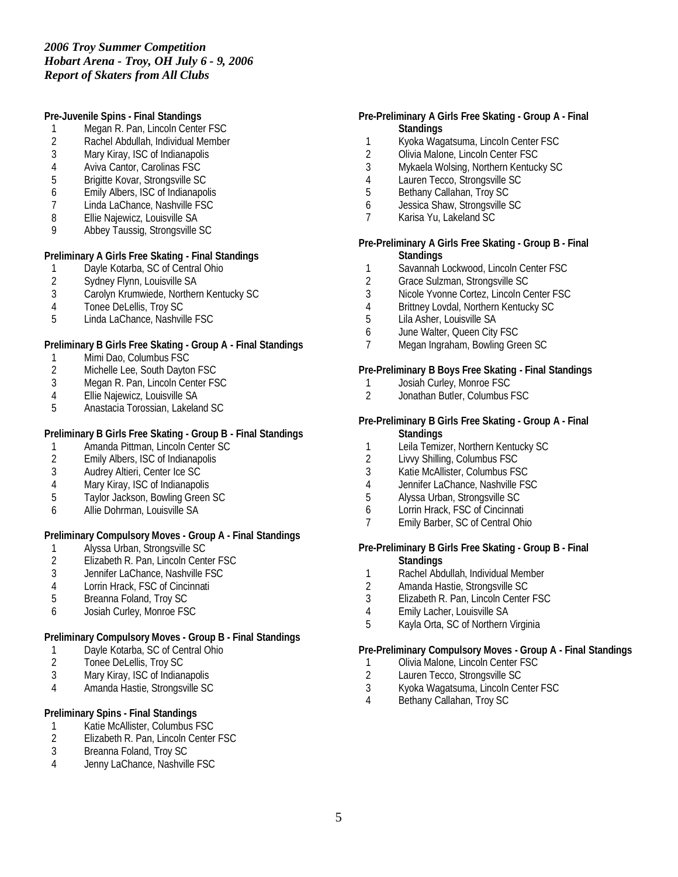**Pre-Juvenile Spins - Final Standings**

- 1 Megan R. Pan, Lincoln Center FSC
- 2 Rachel Abdullah, Individual Member<br>3 Mary Kiray. ISC of Indianapolis
- Mary Kiray, ISC of Indianapolis
- 4 Aviva Cantor, Carolinas FSC<br>5 Brigitte Kovar, Strongsville SC
- 5 Brigitte Kovar, Strongsville SC
- 6 Emily Albers, ISC of Indianapolis
- 7 Linda LaChance, Nashville FSC
- 8 Ellie Najewicz, Louisville SA
- 9 Abbey Taussig, Strongsville SC

**Preliminary A Girls Free Skating - Final Standings**

- 1 Dayle Kotarba, SC of Central Ohio<br>2 Sydney Flynn, Louisville SA
- Sydney Flynn, Louisville SA
- 3 Carolyn Krumwiede, Northern Kentucky SC
- 4 Tonee DeLellis, Troy SC
- 5 Linda LaChance, Nashville FSC

**Preliminary B Girls Free Skating - Group A - Final Standings**

- 1 Mimi Dao, Columbus FSC
- 2 Michelle Lee, South Dayton FSC<br>3 Megan R. Pan, Lincoln Center FS
- 3 Megan R. Pan, Lincoln Center FSC<br>4 Ellie Najewicz, Louisville SA
- 4 Ellie Najewicz, Louisville SA<br>5 Anastacia Torossian, Lakela
- 5 Anastacia Torossian, Lakeland SC

**Preliminary B Girls Free Skating - Group B - Final Standings**

- 1 Amanda Pittman, Lincoln Center SC<br>2 Emily Albers. ISC of Indianapolis
- 2 Emily Albers, ISC of Indianapolis
- 3 Audrey Altieri, Center Ice SC
- 4 Mary Kiray, ISC of Indianapolis<br>5 Tavlor Jackson, Bowling Green
- 5 Taylor Jackson, Bowling Green SC
- 6 Allie Dohrman, Louisville SA

**Preliminary Compulsory Moves - Group A - Final Standings**

- 
- 1 Alyssa Urban, Strongsville SC<br>2 Elizabeth R. Pan, Lincoln Cent 2 Elizabeth R. Pan, Lincoln Center FSC<br>3 Jennifer LaChance, Nashville FSC
- 3 Jennifer LaChance, Nashville FSC
- 
- 4 Lorrin Hrack, FSC of Cincinnati<br>5 Breanna Foland, Troy SC 5 Breanna Foland, Troy SC
- 6 Josiah Curley, Monroe FSC

**Preliminary Compulsory Moves - Group B - Final Standings**

- 1 Dayle Kotarba, SC of Central Ohio<br>2 Tonee DeLellis, Troy SC
- Tonee DeLellis, Troy SC
- 3 Mary Kiray, ISC of Indianapolis
- 4 Amanda Hastie, Strongsville SC

**Preliminary Spins - Final Standings**

- 1 Katie McAllister, Columbus FSC<br>2 Elizabeth R. Pan, Lincoln Center
- 2 Elizabeth R. Pan, Lincoln Center FSC<br>3 Breanna Foland. Trov SC
- Breanna Foland, Troy SC
- 4 Jenny LaChance, Nashville FSC

**Pre-Preliminary A Girls Free Skating - Group A - Final Standings**

- 1 Kyoka Wagatsuma, Lincoln Center FSC<br>2 Olivia Malone, Lincoln Center FSC
- Olivia Malone, Lincoln Center FSC
- 3 Mykaela Wolsing, Northern Kentucky SC
- 4 Lauren Tecco, Strongsville SC<br>5 Bethany Callahan, Trov SC
- 5 Bethany Callahan, Troy SC
- 6 Jessica Shaw, Strongsville SC
- 7 Karisa Yu, Lakeland SC
- **Pre-Preliminary A Girls Free Skating Group B Final Standings**
- 1 Savannah Lockwood, Lincoln Center FSC
- 2 Grace Sulzman, Strongsville SC
- 3 Nicole Yvonne Cortez, Lincoln Center FSC
- 4 Brittney Lovdal, Northern Kentucky SC
- 5 Lila Asher, Louisville SA
- 6 June Walter, Queen City FSC
- 7 Megan Ingraham, Bowling Green SC

**Pre-Preliminary B Boys Free Skating - Final Standings**

- 1 Josiah Curley, Monroe FSC<br>2 Jonathan Butler, Columbus I
- 2 Jonathan Butler, Columbus FSC

**Pre-Preliminary B Girls Free Skating - Group A - Final Standings**

- 1 Leila Temizer, Northern Kentucky SC<br>2 Livyy Shilling, Columbus FSC
- 2 Livvy Shilling, Columbus FSC
- 3 Katie McAllister, Columbus FSC
- 4 Jennifer LaChance, Nashville FSC<br>5 Alvssa Urban, Strongsville SC
- 5 Alyssa Urban, Strongsville SC
- 6 Lorrin Hrack, FSC of Cincinnati
- 7 Emily Barber, SC of Central Ohio

**Pre-Preliminary B Girls Free Skating - Group B - Final Standings**

- 1 Rachel Abdullah, Individual Member
- 2 Amanda Hastie, Strongsville SC
- 3 Elizabeth R. Pan, Lincoln Center FSC
- 4 Emily Lacher, Louisville SA
- 5 Kayla Orta, SC of Northern Virginia

**Pre-Preliminary Compulsory Moves - Group A - Final Standings**

- 1 Olivia Malone, Lincoln Center FSC
- 2 Lauren Tecco, Strongsville SC
- 3 Kyoka Wagatsuma, Lincoln Center FSC
- Bethany Callahan, Troy SC